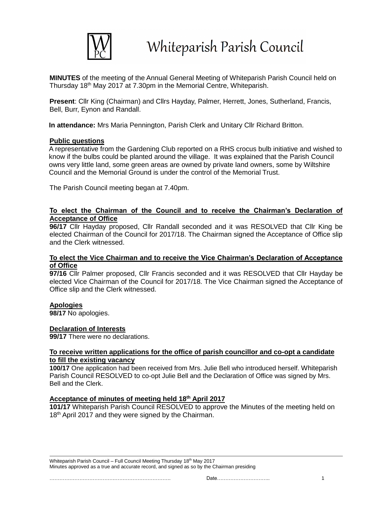

**MINUTES** of the meeting of the Annual General Meeting of Whiteparish Parish Council held on Thursday 18th May 2017 at 7.30pm in the Memorial Centre, Whiteparish.

**Present**: Cllr King (Chairman) and Cllrs Hayday, Palmer, Herrett, Jones, Sutherland, Francis, Bell, Burr, Eynon and Randall.

**In attendance:** Mrs Maria Pennington, Parish Clerk and Unitary Cllr Richard Britton.

# **Public questions**

A representative from the Gardening Club reported on a RHS crocus bulb initiative and wished to know if the bulbs could be planted around the village. It was explained that the Parish Council owns very little land, some green areas are owned by private land owners, some by Wiltshire Council and the Memorial Ground is under the control of the Memorial Trust.

The Parish Council meeting began at 7.40pm.

# **To elect the Chairman of the Council and to receive the Chairman's Declaration of Acceptance of Office**

**96/17** Cllr Hayday proposed, Cllr Randall seconded and it was RESOLVED that Cllr King be elected Chairman of the Council for 2017/18. The Chairman signed the Acceptance of Office slip and the Clerk witnessed.

#### **To elect the Vice Chairman and to receive the Vice Chairman's Declaration of Acceptance of Office**

**97/16** Cllr Palmer proposed, Cllr Francis seconded and it was RESOLVED that Cllr Hayday be elected Vice Chairman of the Council for 2017/18. The Vice Chairman signed the Acceptance of Office slip and the Clerk witnessed.

# **Apologies**

**98/17** No apologies.

#### **Declaration of Interests**

**99/17** There were no declarations.

## **To receive written applications for the office of parish councillor and co-opt a candidate to fill the existing vacancy**

**100/17** One application had been received from Mrs. Julie Bell who introduced herself. Whiteparish Parish Council RESOLVED to co-opt Julie Bell and the Declaration of Office was signed by Mrs. Bell and the Clerk.

#### **Acceptance of minutes of meeting held 18 th April 2017**

**101/17** Whiteparish Parish Council RESOLVED to approve the Minutes of the meeting held on 18<sup>th</sup> April 2017 and they were signed by the Chairman.

Whiteparish Parish Council – Full Council Meeting Thursday 18<sup>th</sup> May 2017 Minutes approved as a true and accurate record, and signed as so by the Chairman presiding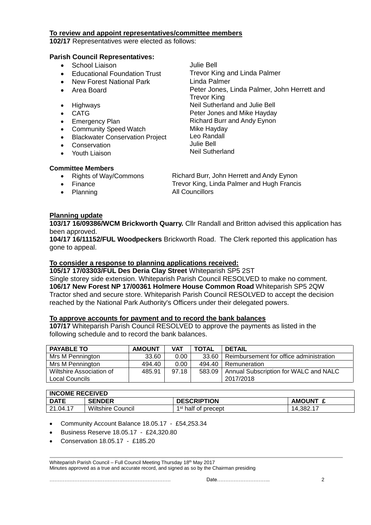## **To review and appoint representatives/committee members**

**102/17** Representatives were elected as follows:

## **Parish Council Representatives:**

- School Liaison Julie Bell
- Educational Foundation Trust Trevor King and Linda Palmer
- New Forest National Park
- Area Board
- 
- 
- 
- Community Speed Watch
- Blackwater Conservation Project
- **Conservation**
- Youth Liaison

Linda Palmer Peter Jones, Linda Palmer, John Herrett and Trevor King Highways **Neil Sutherland and Julie Bell** CATG **Peter Jones and Mike Hayday** Emergency Plan **Richard Burr and Andy Eynon** Mike Hayday Leo Randall Julie Bell Neil Sutherland

#### **Committee Members**

- 
- 
- Planning All Councillors

• Rights of Way/Commons Richard Burr, John Herrett and Andy Eynon Finance Trevor King, Linda Palmer and Hugh Francis

# **Planning update**

**103/17 16/09386/WCM Brickworth Quarry.** Cllr Randall and Britton advised this application has been approved.

**104/17 16/11152/FUL Woodpeckers** Brickworth Road. The Clerk reported this application has gone to appeal.

# **To consider a response to planning applications received:**

**105/17 17/03303/FUL Des Deria Clay Street** Whiteparish SP5 2ST Single storey side extension. Whiteparish Parish Council RESOLVED to make no comment. **106/17 New Forest NP 17/00361 Holmere House Common Road** Whiteparish SP5 2QW Tractor shed and secure store. Whiteparish Parish Council RESOLVED to accept the decision reached by the National Park Authority's Officers under their delegated powers.

# **To approve accounts for payment and to record the bank balances**

**107/17** Whiteparish Parish Council RESOLVED to approve the payments as listed in the following schedule and to record the bank balances.

| <b>PAYABLE TO</b>                          | <b>AMOUNT</b> | VAT   | <b>TOTAL</b> | <b>DETAIL</b>                                      |
|--------------------------------------------|---------------|-------|--------------|----------------------------------------------------|
| Mrs M Pennington                           | 33.60         | 0.00  |              | 33.60   Reimbursement for office administration    |
| Mrs M Pennington                           | 494.40        | 0.00  | 494.40       | I Remuneration                                     |
| Wiltshire Association of<br>Local Councils | 485.91        | 97.18 | 583.09       | Annual Subscription for WALC and NALC<br>2017/2018 |

| <b>INCOME RECEIVED</b> |                          |                                 |               |  |  |  |
|------------------------|--------------------------|---------------------------------|---------------|--|--|--|
| <b>DATE</b>            | <b>SENDER</b>            | <b>DESCRIPTION</b>              | <b>AMOUNT</b> |  |  |  |
| 21.04.17               | <b>Wiltshire Council</b> | 1 <sup>st</sup> half of precept | 14,382.1.     |  |  |  |

Community Account Balance 18.05.17 - £54,253.34

- Business Reserve 18.05.17 £24,320.80
- Conservation 18.05.17 £185.20

Whiteparish Parish Council – Full Council Meeting Thursday 18th May 2017 Minutes approved as a true and accurate record, and signed as so by the Chairman presiding

………………………………………………………………. Date………………………….. 2